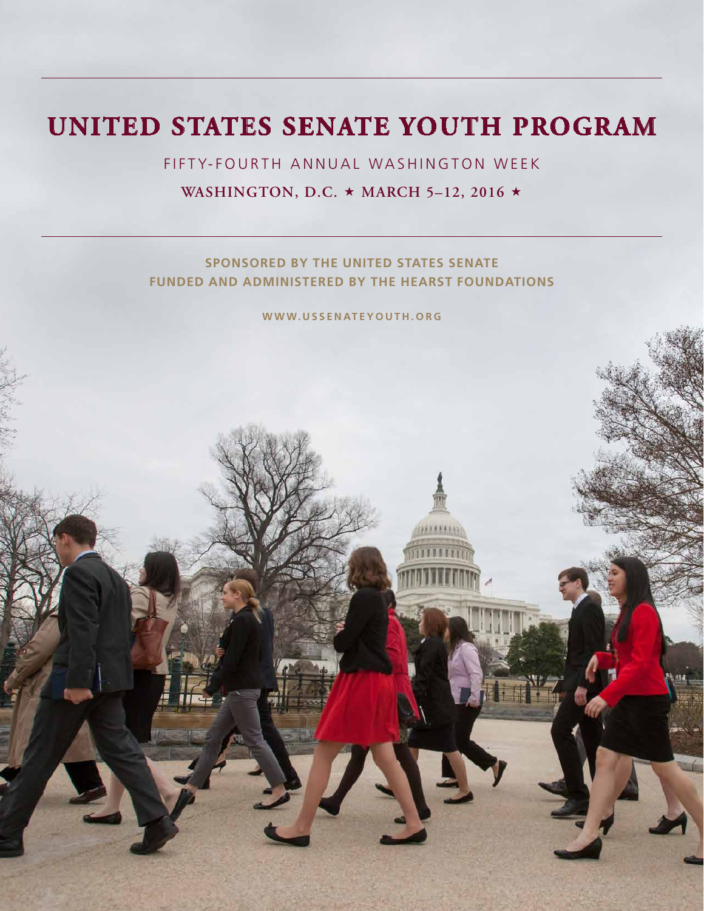# **UNITED STATES SENATE YOUTH PROGRAM**

FIFTY-FOURTH ANNUAL WASHINGTON WEEK **WASHINGTON, D.C. ★ MARCH 5-12, 2016 ★** 

**SPONSORED BY THE UNITED STATES SENATE FUNDED AND ADMINISTERED BY THE HEARST FOUNDATIONS**

**WWW.USSENATEYOUTH.ORG**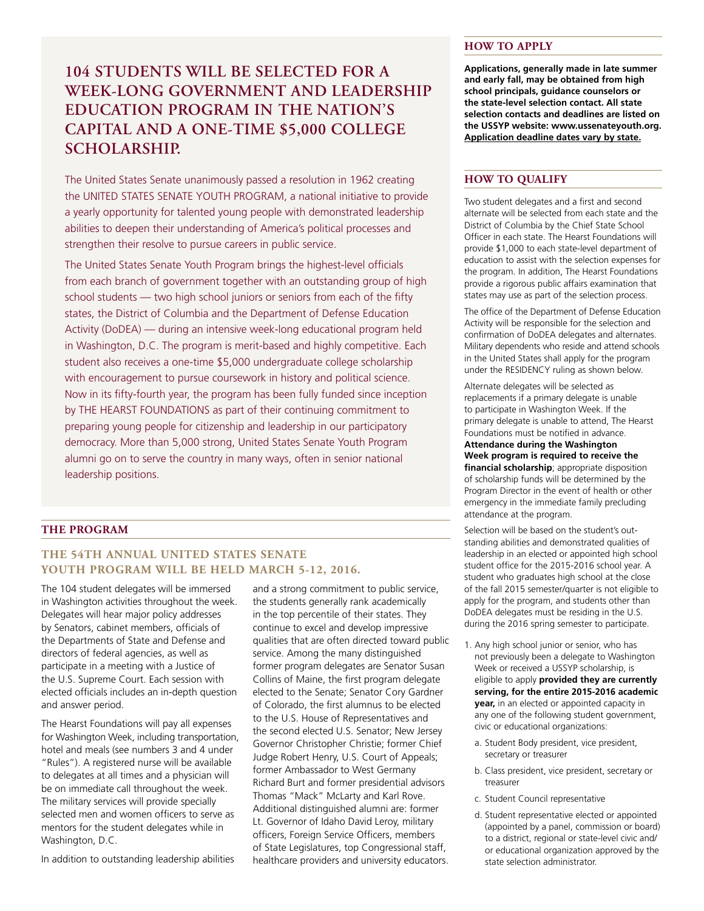# **104 STUDENTS WILL BE SELECTED FOR A WEEK-LONG GOVERNMENT AND LEADERSHIP EDUCATION PROGRAM IN THE NATION'S CAPITAL AND A ONE-TIME \$5,000 COLLEGE SCHOLARSHIP.**

The United States Senate unanimously passed a resolution in 1962 creating the UNITED STATES SENATE YOUTH PROGRAM, a national initiative to provide a yearly opportunity for talented young people with demonstrated leadership abilities to deepen their understanding of America's political processes and strengthen their resolve to pursue careers in public service.

The United States Senate Youth Program brings the highest-level officials from each branch of government together with an outstanding group of high school students — two high school juniors or seniors from each of the fifty states, the District of Columbia and the Department of Defense Education Activity (DoDEA) — during an intensive week-long educational program held in Washington, D.C. The program is merit-based and highly competitive. Each student also receives a one-time \$5,000 undergraduate college scholarship with encouragement to pursue coursework in history and political science. Now in its fifty-fourth year, the program has been fully funded since inception by THE HEARST FOUNDATIONS as part of their continuing commitment to preparing young people for citizenship and leadership in our participatory democracy. More than 5,000 strong, United States Senate Youth Program alumni go on to serve the country in many ways, often in senior national leadership positions.

#### **HOW TO APPLY**

**Applications, generally made in late summer and early fall, may be obtained from high school principals, guidance counselors or the state-level selection contact. All state selection contacts and deadlines are listed on the USSYP website: www.ussenateyouth.org. Application deadline dates vary by state.**

### **HOW TO QUALIFY**

Two student delegates and a first and second alternate will be selected from each state and the District of Columbia by the Chief State School Officer in each state. The Hearst Foundations will provide \$1,000 to each state-level department of education to assist with the selection expenses for the program. In addition, The Hearst Foundations provide a rigorous public affairs examination that states may use as part of the selection process.

The office of the Department of Defense Education Activity will be responsible for the selection and confirmation of DoDEA delegates and alternates. Military dependents who reside and attend schools in the United States shall apply for the program under the RESIDENCY ruling as shown below.

Alternate delegates will be selected as replacements if a primary delegate is unable to participate in Washington Week. If the primary delegate is unable to attend, The Hearst Foundations must be notified in advance.

**Attendance during the Washington Week program is required to receive the financial scholarship**; appropriate disposition of scholarship funds will be determined by the Program Director in the event of health or other emergency in the immediate family precluding attendance at the program.

#### **THE PROGRAM**

# **THE 54TH ANNUAL UNITED STATES SENATE YOUTH PROGRAM WILL BE HELD MARCH 5-12, 2016.**

The 104 student delegates will be immersed in Washington activities throughout the week. Delegates will hear major policy addresses by Senators, cabinet members, officials of the Departments of State and Defense and directors of federal agencies, as well as participate in a meeting with a Justice of the U.S. Supreme Court. Each session with elected officials includes an in-depth question and answer period.

The Hearst Foundations will pay all expenses for Washington Week, including transportation, hotel and meals (see numbers 3 and 4 under "Rules"). A registered nurse will be available to delegates at all times and a physician will be on immediate call throughout the week. The military services will provide specially selected men and women officers to serve as mentors for the student delegates while in Washington, D.C.

In addition to outstanding leadership abilities

and a strong commitment to public service, the students generally rank academically in the top percentile of their states. They continue to excel and develop impressive qualities that are often directed toward public service. Among the many distinguished former program delegates are Senator Susan Collins of Maine, the first program delegate elected to the Senate; Senator Cory Gardner of Colorado, the first alumnus to be elected to the U.S. House of Representatives and the second elected U.S. Senator; New Jersey Governor Christopher Christie; former Chief Judge Robert Henry, U.S. Court of Appeals; former Ambassador to West Germany Richard Burt and former presidential advisors Thomas "Mack" McLarty and Karl Rove. Additional distinguished alumni are: former Lt. Governor of Idaho David Leroy, military officers, Foreign Service Officers, members of State Legislatures, top Congressional staff, healthcare providers and university educators. Selection will be based on the student's outstanding abilities and demonstrated qualities of leadership in an elected or appointed high school student office for the 2015-2016 school year. A student who graduates high school at the close of the fall 2015 semester/quarter is not eligible to apply for the program, and students other than DoDEA delegates must be residing in the U.S. during the 2016 spring semester to participate.

- 1. Any high school junior or senior, who has not previously been a delegate to Washington Week or received a USSYP scholarship, is eligible to apply **provided they are currently serving, for the entire 2015-2016 academic year,** in an elected or appointed capacity in any one of the following student government, civic or educational organizations:
	- a. Student Body president, vice president, secretary or treasurer
	- b. Class president, vice president, secretary or treasurer
	- c. Student Council representative
	- d. Student representative elected or appointed (appointed by a panel, commission or board) to a district, regional or state-level civic and/ or educational organization approved by the state selection administrator.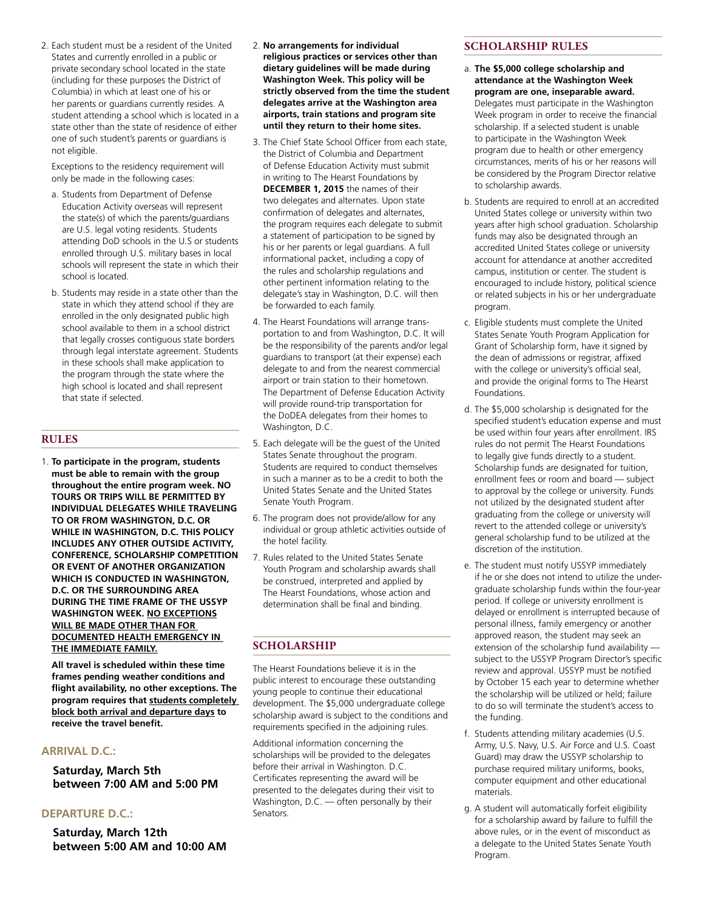2. Each student must be a resident of the United States and currently enrolled in a public or private secondary school located in the state (including for these purposes the District of Columbia) in which at least one of his or her parents or guardians currently resides. A student attending a school which is located in a state other than the state of residence of either one of such student's parents or guardians is not eligible.

Exceptions to the residency requirement will only be made in the following cases:

- a. Students from Department of Defense Education Activity overseas will represent the state(s) of which the parents/guardians are U.S. legal voting residents. Students attending DoD schools in the U.S or students enrolled through U.S. military bases in local schools will represent the state in which their school is located.
- b. Students may reside in a state other than the state in which they attend school if they are enrolled in the only designated public high school available to them in a school district that legally crosses contiguous state borders through legal interstate agreement. Students in these schools shall make application to the program through the state where the high school is located and shall represent that state if selected.

# **RULES**

1. **To participate in the program, students must be able to remain with the group throughout the entire program week. NO TOURS OR TRIPS WILL BE PERMITTED BY INDIVIDUAL DELEGATES WHILE TRAVELING TO OR FROM WASHINGTON, D.C. OR WHILE IN WASHINGTON, D.C. THIS POLICY INCLUDES ANY OTHER OUTSIDE ACTIVITY, CONFERENCE, SCHOLARSHIP COMPETITION OR EVENT OF ANOTHER ORGANIZATION WHICH IS CONDUCTED IN WASHINGTON, D.C. OR THE SURROUNDING AREA DURING THE TIME FRAME OF THE USSYP WASHINGTON WEEK. NO EXCEPTIONS WILL BE MADE OTHER THAN FOR DOCUMENTED HEALTH EMERGENCY IN THE IMMEDIATE FAMILY.**

**All travel is scheduled within these time frames pending weather conditions and flight availability, no other exceptions. The program requires that students completely block both arrival and departure days to receive the travel benefit.**

# **ARRIVAL D.C.:**

**Saturday, March 5th between 7:00 AM and 5:00 PM**

#### **DEPARTURE D.C.:**

**Saturday, March 12th between 5:00 AM and 10:00 AM**

- 2. **No arrangements for individual religious practices or services other than dietary guidelines will be made during Washington Week. This policy will be strictly observed from the time the student delegates arrive at the Washington area airports, train stations and program site until they return to their home sites.**
- 3. The Chief State School Officer from each state, the District of Columbia and Department of Defense Education Activity must submit in writing to The Hearst Foundations by **DECEMBER 1, 2015** the names of their two delegates and alternates. Upon state confirmation of delegates and alternates, the program requires each delegate to submit a statement of participation to be signed by his or her parents or legal guardians. A full informational packet, including a copy of the rules and scholarship regulations and other pertinent information relating to the delegate's stay in Washington, D.C. will then be forwarded to each family.
- 4. The Hearst Foundations will arrange transportation to and from Washington, D.C. It will be the responsibility of the parents and/or legal guardians to transport (at their expense) each delegate to and from the nearest commercial airport or train station to their hometown. The Department of Defense Education Activity will provide round-trip transportation for the DoDEA delegates from their homes to Washington, D.C.
- 5. Each delegate will be the guest of the United States Senate throughout the program. Students are required to conduct themselves in such a manner as to be a credit to both the United States Senate and the United States Senate Youth Program.
- 6. The program does not provide/allow for any individual or group athletic activities outside of the hotel facility.
- 7. Rules related to the United States Senate Youth Program and scholarship awards shall be construed, interpreted and applied by The Hearst Foundations, whose action and determination shall be final and binding.

# **SCHOLARSHIP**

The Hearst Foundations believe it is in the public interest to encourage these outstanding young people to continue their educational development. The \$5,000 undergraduate college scholarship award is subject to the conditions and requirements specified in the adjoining rules.

Additional information concerning the scholarships will be provided to the delegates before their arrival in Washington. D.C. Certificates representing the award will be presented to the delegates during their visit to Washington, D.C. — often personally by their Senators.

#### **SCHOLARSHIP RULES**

- a. **The \$5,000 college scholarship and attendance at the Washington Week program are one, inseparable award.** Delegates must participate in the Washington Week program in order to receive the financial scholarship. If a selected student is unable to participate in the Washington Week program due to health or other emergency circumstances, merits of his or her reasons will be considered by the Program Director relative to scholarship awards.
- b. Students are required to enroll at an accredited United States college or university within two years after high school graduation. Scholarship funds may also be designated through an accredited United States college or university account for attendance at another accredited campus, institution or center. The student is encouraged to include history, political science or related subjects in his or her undergraduate program.
- c. Eligible students must complete the United States Senate Youth Program Application for Grant of Scholarship form, have it signed by the dean of admissions or registrar, affixed with the college or university's official seal, and provide the original forms to The Hearst Foundations.
- d. The \$5,000 scholarship is designated for the specified student's education expense and must be used within four years after enrollment. IRS rules do not permit The Hearst Foundations to legally give funds directly to a student. Scholarship funds are designated for tuition, enrollment fees or room and board — subject to approval by the college or university. Funds not utilized by the designated student after graduating from the college or university will revert to the attended college or university's general scholarship fund to be utilized at the discretion of the institution.
- e. The student must notify USSYP immediately if he or she does not intend to utilize the undergraduate scholarship funds within the four-year period. If college or university enrollment is delayed or enrollment is interrupted because of personal illness, family emergency or another approved reason, the student may seek an extension of the scholarship fund availability subject to the USSYP Program Director's specific review and approval. USSYP must be notified by October 15 each year to determine whether the scholarship will be utilized or held; failure to do so will terminate the student's access to the funding.
- f. Students attending military academies (U.S. Army, U.S. Navy, U.S. Air Force and U.S. Coast Guard) may draw the USSYP scholarship to purchase required military uniforms, books, computer equipment and other educational materials.
- g. A student will automatically forfeit eligibility for a scholarship award by failure to fulfill the above rules, or in the event of misconduct as a delegate to the United States Senate Youth Program.